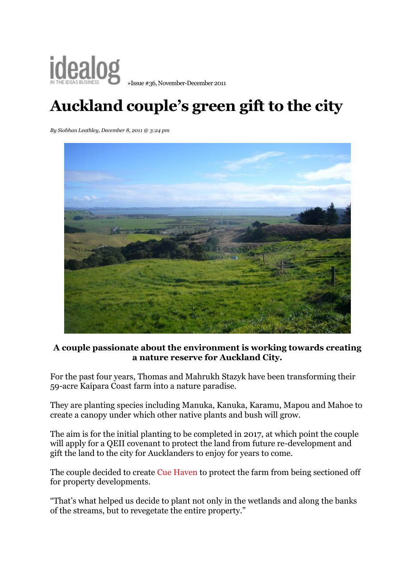

## **Auckland couple's green gift to the city**

*By Siobhan Leathley, December 8, 2011 @ 3:24 pm*



## **A couple passionate about the environment is working towards creating a nature reserve for Auckland City.**

For the past four years, Thomas and Mahrukh Stazyk have been transforming their 59-acre Kaipara Coast farm into a nature paradise.

They are planting species including Manuka, Kanuka, Karamu, Mapou and Mahoe to create a canopy under which other native plants and bush will grow.

The aim is for the initial planting to be completed in 2017, at which point the couple will apply for a QEII covenant to protect the land from future re-development and gift the land to the city for Aucklanders to enjoy for years to come.

The couple decided to create [Cue Haven](http://www.cuehaven.com/) to protect the farm from being sectioned off for property developments.

"That's what helped us decide to plant not only in the wetlands and along the banks of the streams, but to revegetate the entire property."